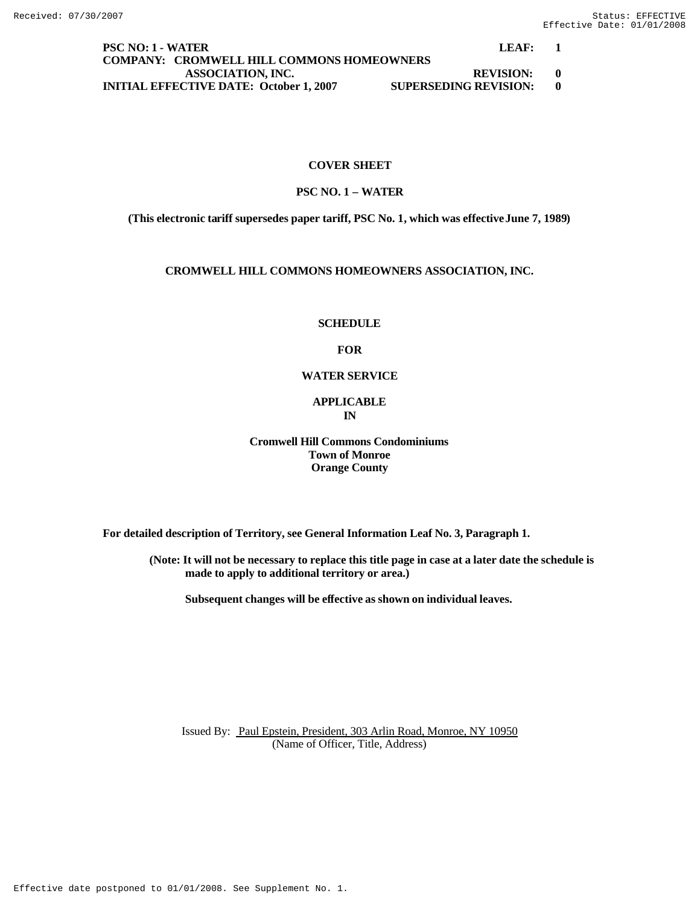## **PSC NO: 1 - WATER LEAF: 1 COMPANY: CROMWELL HILL COMMONS HOMEOWNERS ASSOCIATION, INC. REVISION: 0 INITIAL EFFECTIVE DATE: October 1, 2007 SUPERSEDING REVISION: 0**

## **COVER SHEET**

## **PSC NO. 1 – WATER**

**(This electronic tariff supersedes paper tariff, PSC No. 1, which was effective June 7, 1989)**

## **CROMWELL HILL COMMONS HOMEOWNERS ASSOCIATION, INC.**

## **SCHEDULE**

#### **FOR**

#### **WATER SERVICE**

## **APPLICABLE IN**

## **Cromwell Hill Commons Condominiums Town of Monroe Orange County**

**For detailed description of Territory, see General Information Leaf No. 3, Paragraph 1.**

**(Note: It will not be necessary to replace this title page in case at a later date the schedule is made to apply to additional territory or area.)**

**Subsequent changes will be effective as shown on individual leaves.**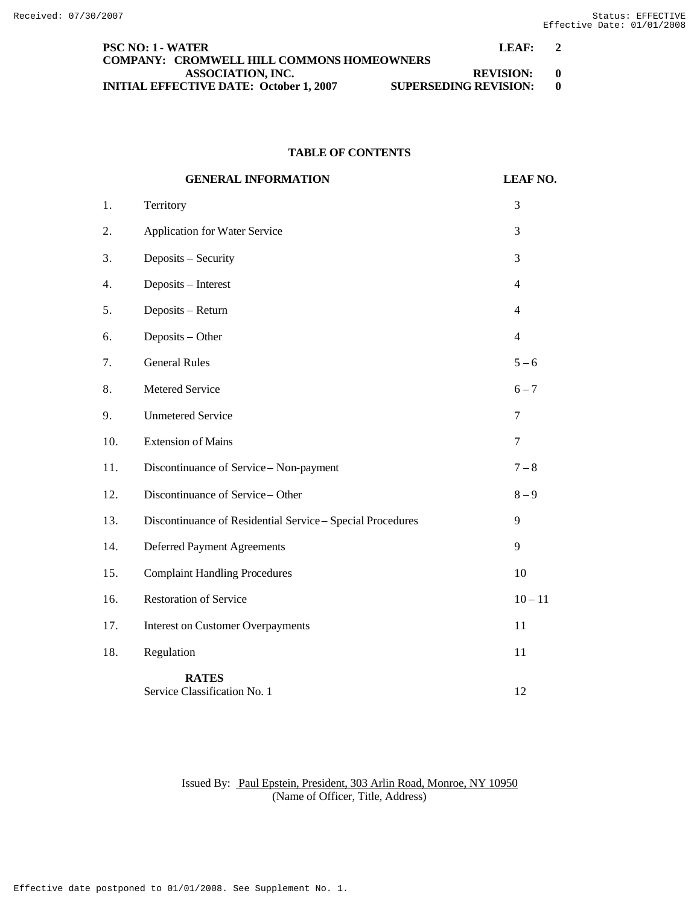| <b>PSC NO: 1 - WATER</b>                         | LEAF:                        |  |
|--------------------------------------------------|------------------------------|--|
| <b>COMPANY: CROMWELL HILL COMMONS HOMEOWNERS</b> |                              |  |
| ASSOCIATION, INC.                                | <b>REVISION:</b><br>- 0      |  |
| <b>INITIAL EFFECTIVE DATE: October 1, 2007</b>   | <b>SUPERSEDING REVISION:</b> |  |

## **TABLE OF CONTENTS**

|     | <b>GENERAL INFORMATION</b>                                 | <b>LEAF NO.</b> |
|-----|------------------------------------------------------------|-----------------|
| 1.  | Territory                                                  | 3               |
| 2.  | Application for Water Service                              | 3               |
| 3.  | Deposits - Security                                        | 3               |
| 4.  | Deposits - Interest                                        | $\overline{4}$  |
| 5.  | Deposits - Return                                          | $\overline{4}$  |
| 6.  | Deposits - Other                                           | $\overline{4}$  |
| 7.  | <b>General Rules</b>                                       | $5 - 6$         |
| 8.  | Metered Service                                            | $6 - 7$         |
| 9.  | <b>Unmetered Service</b>                                   | 7               |
| 10. | <b>Extension of Mains</b>                                  | 7               |
| 11. | Discontinuance of Service - Non-payment                    | $7 - 8$         |
| 12. | Discontinuance of Service - Other                          | $8 - 9$         |
| 13. | Discontinuance of Residential Service - Special Procedures | 9               |
| 14. | <b>Deferred Payment Agreements</b>                         | 9               |
| 15. | <b>Complaint Handling Procedures</b>                       | 10              |
| 16. | <b>Restoration of Service</b>                              | $10 - 11$       |
| 17. | <b>Interest on Customer Overpayments</b>                   | 11              |
| 18. | Regulation                                                 | 11              |
|     | <b>RATES</b><br>Service Classification No. 1               | 12              |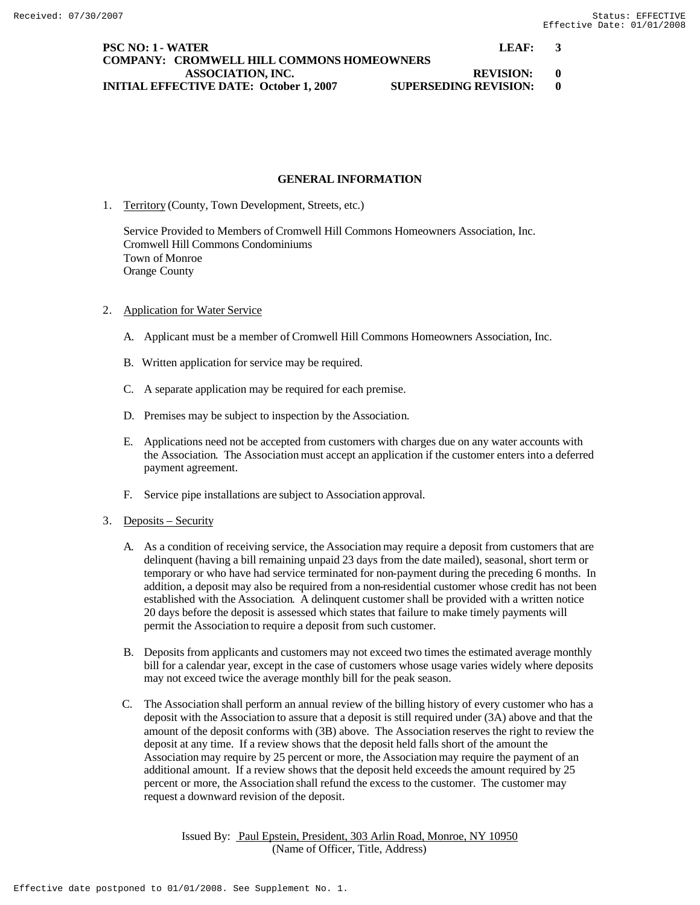**PSC NO: 1 - WATER LEAF:** 3 **COMPANY: CROMWELL HILL COMMONS HOMEOWNERS ASSOCIATION, INC. REVISION: 0 INITIAL EFFECTIVE DATE: October 1, 2007 SUPERSEDING REVISION: 0**

## **GENERAL INFORMATION**

1. Territory (County, Town Development, Streets, etc.)

Service Provided to Members of Cromwell Hill Commons Homeowners Association, Inc. Cromwell Hill Commons Condominiums Town of Monroe Orange County

## 2. Application for Water Service

- A. Applicant must be a member of Cromwell Hill Commons Homeowners Association, Inc.
- B. Written application for service may be required.
- C. A separate application may be required for each premise.
- D. Premises may be subject to inspection by the Association.
- E. Applications need not be accepted from customers with charges due on any water accounts with the Association. The Association must accept an application if the customer enters into a deferred payment agreement.
- F. Service pipe installations are subject to Association approval.
- 3. Deposits Security
	- A. As a condition of receiving service, the Association may require a deposit from customers that are delinquent (having a bill remaining unpaid 23 days from the date mailed), seasonal, short term or temporary or who have had service terminated for non-payment during the preceding 6 months. In addition, a deposit may also be required from a non-residential customer whose credit has not been established with the Association. A delinquent customer shall be provided with a written notice 20 days before the deposit is assessed which states that failure to make timely payments will permit the Association to require a deposit from such customer.
	- B. Deposits from applicants and customers may not exceed two times the estimated average monthly bill for a calendar year, except in the case of customers whose usage varies widely where deposits may not exceed twice the average monthly bill for the peak season.
	- C. The Association shall perform an annual review of the billing history of every customer who has a deposit with the Association to assure that a deposit is still required under (3A) above and that the amount of the deposit conforms with (3B) above. The Association reserves the right to review the deposit at any time. If a review shows that the deposit held falls short of the amount the Association may require by 25 percent or more, the Association may require the payment of an additional amount. If a review shows that the deposit held exceeds the amount required by 25 percent or more, the Association shall refund the excess to the customer. The customer may request a downward revision of the deposit.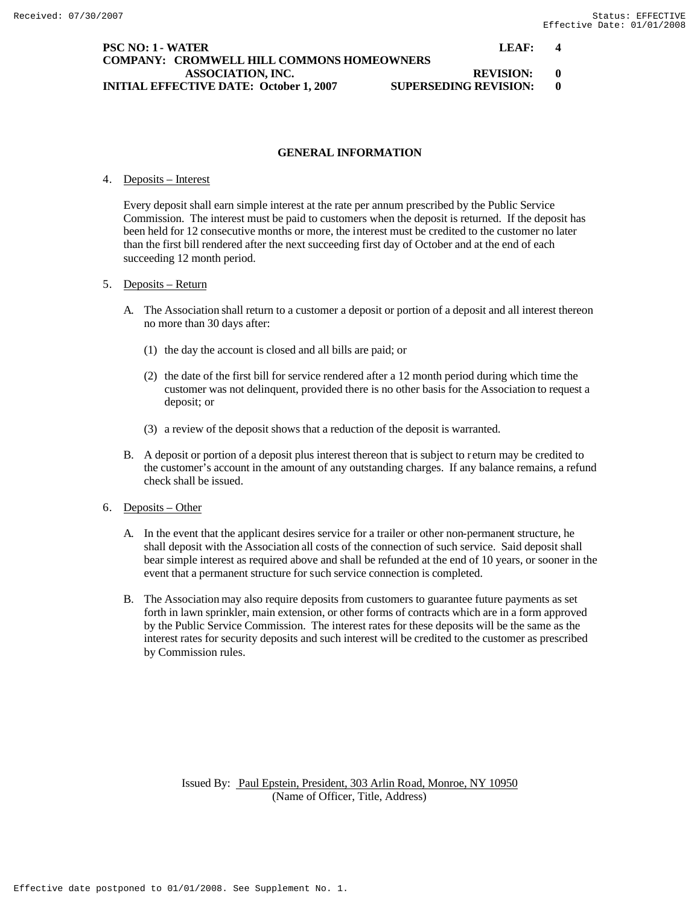## **PSC NO: 1 - WATER LEAF: 4 COMPANY: CROMWELL HILL COMMONS HOMEOWNERS ASSOCIATION, INC. REVISION: 0 INITIAL EFFECTIVE DATE: October 1, 2007 SUPERSEDING REVISION: 0**

## **GENERAL INFORMATION**

## 4. Deposits – Interest

Every deposit shall earn simple interest at the rate per annum prescribed by the Public Service Commission. The interest must be paid to customers when the deposit is returned. If the deposit has been held for 12 consecutive months or more, the interest must be credited to the customer no later than the first bill rendered after the next succeeding first day of October and at the end of each succeeding 12 month period.

#### 5. Deposits – Return

- A. The Association shall return to a customer a deposit or portion of a deposit and all interest thereon no more than 30 days after:
	- (1) the day the account is closed and all bills are paid; or
	- (2) the date of the first bill for service rendered after a 12 month period during which time the customer was not delinquent, provided there is no other basis for the Association to request a deposit; or
	- (3) a review of the deposit shows that a reduction of the deposit is warranted.
- B. A deposit or portion of a deposit plus interest thereon that is subject to r eturn may be credited to the customer's account in the amount of any outstanding charges. If any balance remains, a refund check shall be issued.
- 6. Deposits Other
	- A. In the event that the applicant desires service for a trailer or other non-permanent structure, he shall deposit with the Association all costs of the connection of such service. Said deposit shall bear simple interest as required above and shall be refunded at the end of 10 years, or sooner in the event that a permanent structure for such service connection is completed.
	- B. The Association may also require deposits from customers to guarantee future payments as set forth in lawn sprinkler, main extension, or other forms of contracts which are in a form approved by the Public Service Commission. The interest rates for these deposits will be the same as the interest rates for security deposits and such interest will be credited to the customer as prescribed by Commission rules.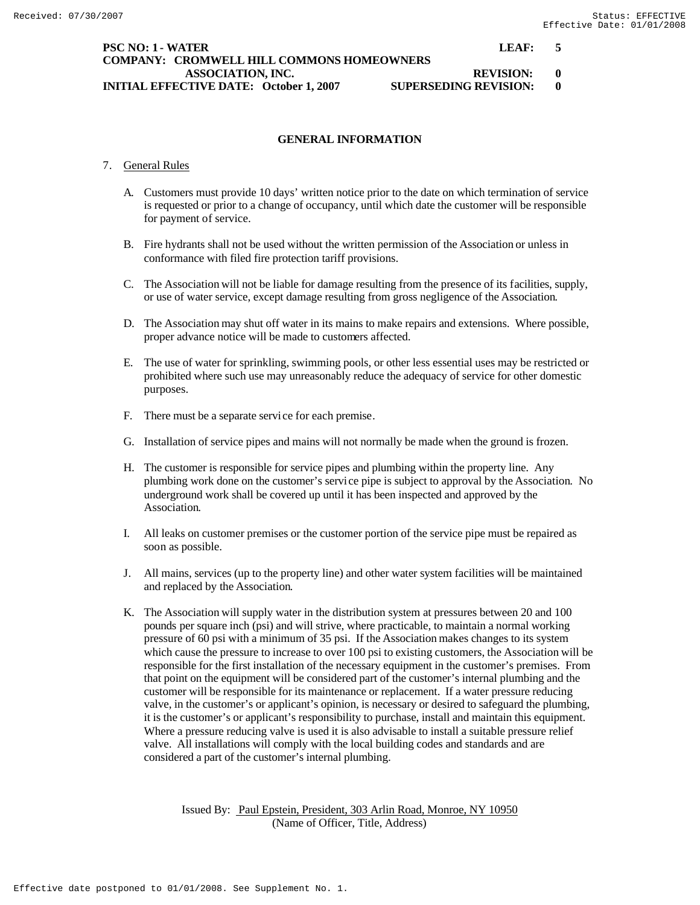## **PSC NO: 1 - WATER LEAF: 5 COMPANY: CROMWELL HILL COMMONS HOMEOWNERS ASSOCIATION, INC. REVISION: 0 INITIAL EFFECTIVE DATE: October 1, 2007 SUPERSEDING REVISION: 0**

## **GENERAL INFORMATION**

## 7. General Rules

- A. Customers must provide 10 days' written notice prior to the date on which termination of service is requested or prior to a change of occupancy, until which date the customer will be responsible for payment of service.
- B. Fire hydrants shall not be used without the written permission of the Association or unless in conformance with filed fire protection tariff provisions.
- C. The Association will not be liable for damage resulting from the presence of its facilities, supply, or use of water service, except damage resulting from gross negligence of the Association.
- D. The Association may shut off water in its mains to make repairs and extensions. Where possible, proper advance notice will be made to customers affected.
- E. The use of water for sprinkling, swimming pools, or other less essential uses may be restricted or prohibited where such use may unreasonably reduce the adequacy of service for other domestic purposes.
- F. There must be a separate service for each premise.
- G. Installation of service pipes and mains will not normally be made when the ground is frozen.
- H. The customer is responsible for service pipes and plumbing within the property line. Any plumbing work done on the customer's service pipe is subject to approval by the Association. No underground work shall be covered up until it has been inspected and approved by the Association.
- I. All leaks on customer premises or the customer portion of the service pipe must be repaired as soon as possible.
- J. All mains, services (up to the property line) and other water system facilities will be maintained and replaced by the Association.
- K. The Association will supply water in the distribution system at pressures between 20 and 100 pounds per square inch (psi) and will strive, where practicable, to maintain a normal working pressure of 60 psi with a minimum of 35 psi. If the Association makes changes to its system which cause the pressure to increase to over 100 psi to existing customers, the Association will be responsible for the first installation of the necessary equipment in the customer's premises. From that point on the equipment will be considered part of the customer's internal plumbing and the customer will be responsible for its maintenance or replacement. If a water pressure reducing valve, in the customer's or applicant's opinion, is necessary or desired to safeguard the plumbing, it is the customer's or applicant's responsibility to purchase, install and maintain this equipment. Where a pressure reducing valve is used it is also advisable to install a suitable pressure relief valve. All installations will comply with the local building codes and standards and are considered a part of the customer's internal plumbing.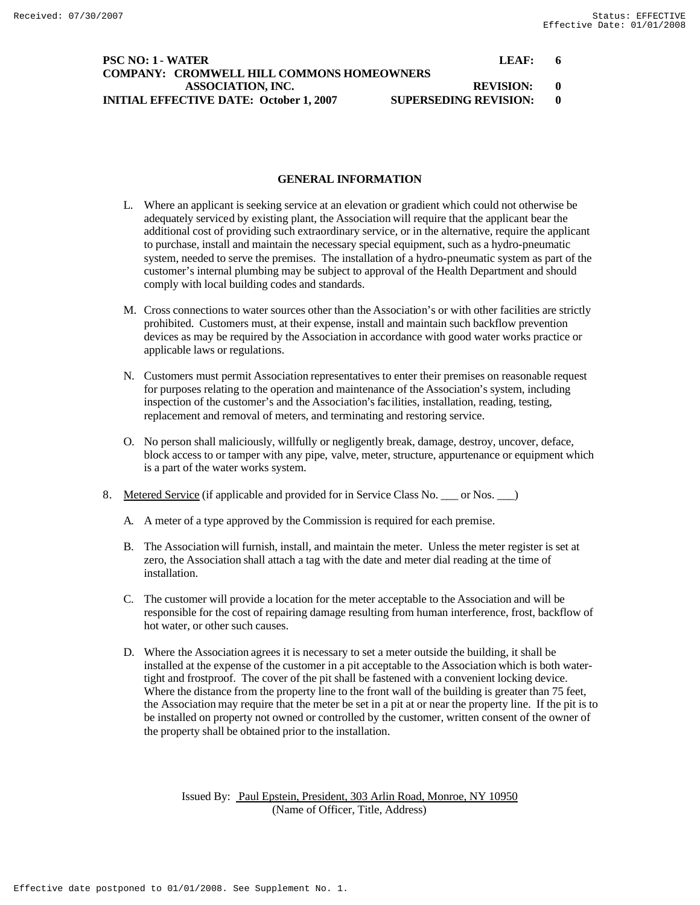## **PSC NO: 1 - WATER LEAF:** 6 **COMPANY: CROMWELL HILL COMMONS HOMEOWNERS ASSOCIATION, INC. REVISION: 0 INITIAL EFFECTIVE DATE: October 1, 2007 SUPERSEDING REVISION: 0**

## **GENERAL INFORMATION**

- L. Where an applicant is seeking service at an elevation or gradient which could not otherwise be adequately serviced by existing plant, the Association will require that the applicant bear the additional cost of providing such extraordinary service, or in the alternative, require the applicant to purchase, install and maintain the necessary special equipment, such as a hydro-pneumatic system, needed to serve the premises. The installation of a hydro-pneumatic system as part of the customer's internal plumbing may be subject to approval of the Health Department and should comply with local building codes and standards.
- M. Cross connections to water sources other than the Association's or with other facilities are strictly prohibited. Customers must, at their expense, install and maintain such backflow prevention devices as may be required by the Association in accordance with good water works practice or applicable laws or regulations.
- N. Customers must permit Association representatives to enter their premises on reasonable request for purposes relating to the operation and maintenance of the Association's system, including inspection of the customer's and the Association's facilities, installation, reading, testing, replacement and removal of meters, and terminating and restoring service.
- O. No person shall maliciously, willfully or negligently break, damage, destroy, uncover, deface, block access to or tamper with any pipe, valve, meter, structure, appurtenance or equipment which is a part of the water works system.
- 8. Metered Service (if applicable and provided for in Service Class No. \_\_\_ or Nos. \_\_\_)
	- A. A meter of a type approved by the Commission is required for each premise.
	- B. The Association will furnish, install, and maintain the meter. Unless the meter register is set at zero, the Association shall attach a tag with the date and meter dial reading at the time of installation.
	- C. The customer will provide a location for the meter acceptable to the Association and will be responsible for the cost of repairing damage resulting from human interference, frost, backflow of hot water, or other such causes.
	- D. Where the Association agrees it is necessary to set a meter outside the building, it shall be installed at the expense of the customer in a pit acceptable to the Association which is both watertight and frostproof. The cover of the pit shall be fastened with a convenient locking device. Where the distance from the property line to the front wall of the building is greater than 75 feet, the Association may require that the meter be set in a pit at or near the property line. If the pit is to be installed on property not owned or controlled by the customer, written consent of the owner of the property shall be obtained prior to the installation.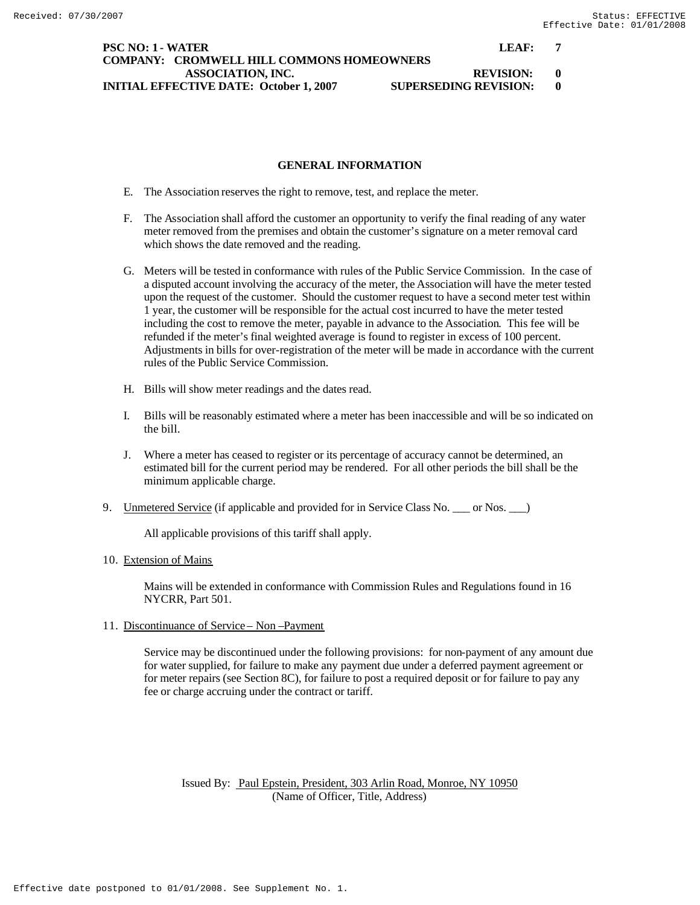## **PSC NO: 1 - WATER LEAF: 7 COMPANY: CROMWELL HILL COMMONS HOMEOWNERS ASSOCIATION, INC. REVISION: 0 INITIAL EFFECTIVE DATE: October 1, 2007 SUPERSEDING REVISION: 0**

## **GENERAL INFORMATION**

- E. The Association reserves the right to remove, test, and replace the meter.
- F. The Association shall afford the customer an opportunity to verify the final reading of any water meter removed from the premises and obtain the customer's signature on a meter removal card which shows the date removed and the reading.
- G. Meters will be tested in conformance with rules of the Public Service Commission. In the case of a disputed account involving the accuracy of the meter, the Association will have the meter tested upon the request of the customer. Should the customer request to have a second meter test within 1 year, the customer will be responsible for the actual cost incurred to have the meter tested including the cost to remove the meter, payable in advance to the Association. This fee will be refunded if the meter's final weighted average is found to register in excess of 100 percent. Adjustments in bills for over-registration of the meter will be made in accordance with the current rules of the Public Service Commission.
- H. Bills will show meter readings and the dates read.
- I. Bills will be reasonably estimated where a meter has been inaccessible and will be so indicated on the bill.
- J. Where a meter has ceased to register or its percentage of accuracy cannot be determined, an estimated bill for the current period may be rendered. For all other periods the bill shall be the minimum applicable charge.
- 9. Unmetered Service (if applicable and provided for in Service Class No. \_\_\_ or Nos. \_\_)

All applicable provisions of this tariff shall apply.

#### 10. Extension of Mains

Mains will be extended in conformance with Commission Rules and Regulations found in 16 NYCRR, Part 501.

11. Discontinuance of Service – Non –Payment

Service may be discontinued under the following provisions: for non-payment of any amount due for water supplied, for failure to make any payment due under a deferred payment agreement or for meter repairs (see Section 8C), for failure to post a required deposit or for failure to pay any fee or charge accruing under the contract or tariff.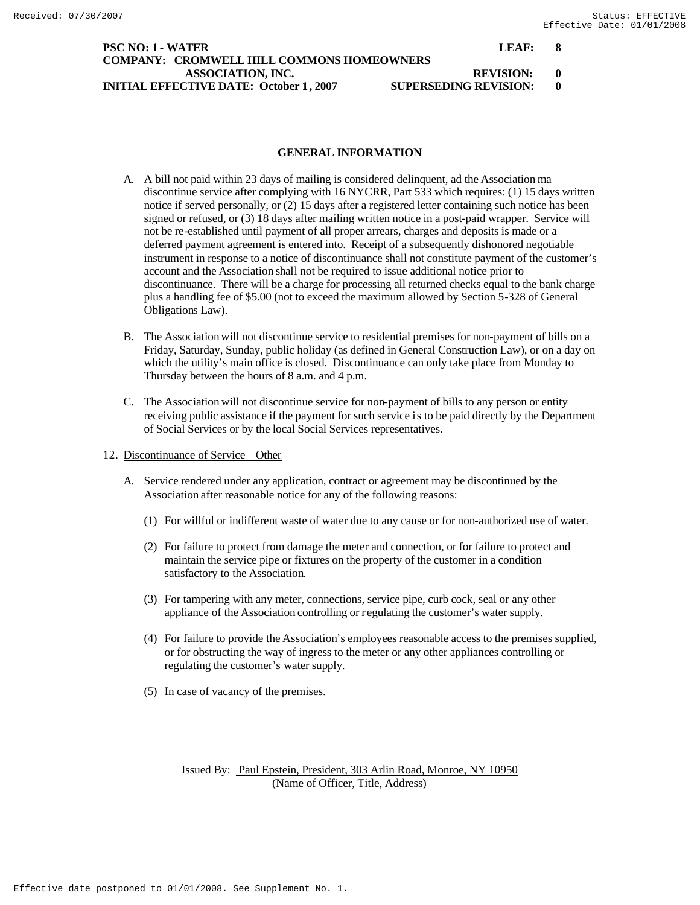## **PSC NO: 1 - WATER LEAF: 8 COMPANY: CROMWELL HILL COMMONS HOMEOWNERS ASSOCIATION, INC. REVISION: 0 INITIAL EFFECTIVE DATE: October 1, 2007 SUPERSEDING REVISION: 0**

## **GENERAL INFORMATION**

- A. A bill not paid within 23 days of mailing is considered delinquent, ad the Association ma discontinue service after complying with 16 NYCRR, Part 533 which requires: (1) 15 days written notice if served personally, or (2) 15 days after a registered letter containing such notice has been signed or refused, or (3) 18 days after mailing written notice in a post-paid wrapper. Service will not be re-established until payment of all proper arrears, charges and deposits is made or a deferred payment agreement is entered into. Receipt of a subsequently dishonored negotiable instrument in response to a notice of discontinuance shall not constitute payment of the customer's account and the Association shall not be required to issue additional notice prior to discontinuance. There will be a charge for processing all returned checks equal to the bank charge plus a handling fee of \$5.00 (not to exceed the maximum allowed by Section 5-328 of General Obligations Law).
- B. The Association will not discontinue service to residential premises for non-payment of bills on a Friday, Saturday, Sunday, public holiday (as defined in General Construction Law), or on a day on which the utility's main office is closed. Discontinuance can only take place from Monday to Thursday between the hours of 8 a.m. and 4 p.m.
- C. The Association will not discontinue service for non-payment of bills to any person or entity receiving public assistance if the payment for such service is to be paid directly by the Department of Social Services or by the local Social Services representatives.
- 12. Discontinuance of Service Other
	- A. Service rendered under any application, contract or agreement may be discontinued by the Association after reasonable notice for any of the following reasons:
		- (1) For willful or indifferent waste of water due to any cause or for non-authorized use of water.
		- (2) For failure to protect from damage the meter and connection, or for failure to protect and maintain the service pipe or fixtures on the property of the customer in a condition satisfactory to the Association.
		- (3) For tampering with any meter, connections, service pipe, curb cock, seal or any other appliance of the Association controlling or regulating the customer's water supply.
		- (4) For failure to provide the Association's employees reasonable access to the premises supplied, or for obstructing the way of ingress to the meter or any other appliances controlling or regulating the customer's water supply.
		- (5) In case of vacancy of the premises.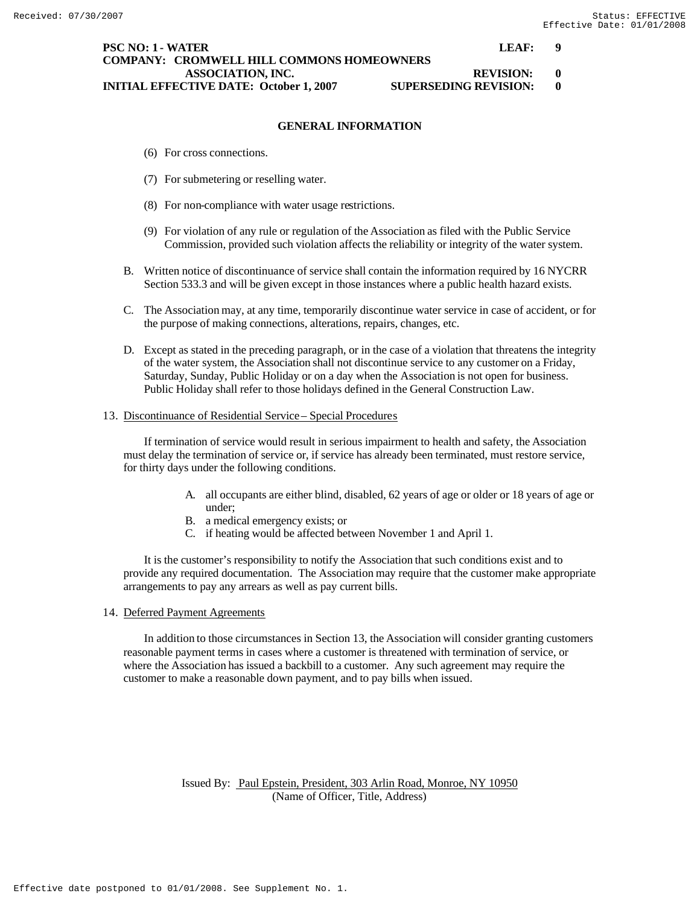#### **PSC NO: 1 - WATER LEAF: 9 COMPANY: CROMWELL HILL COMMONS HOMEOWNERS ASSOCIATION, INC. REVISION: 0 INITIAL EFFECTIVE DATE: October 1, 2007 SUPERSEDING REVISION: 0**

# **GENERAL INFORMATION**

- (6) For cross connections.
- (7) For submetering or reselling water.
- (8) For non-compliance with water usage restrictions.
- (9) For violation of any rule or regulation of the Association as filed with the Public Service Commission, provided such violation affects the reliability or integrity of the water system.
- B. Written notice of discontinuance of service shall contain the information required by 16 NYCRR Section 533.3 and will be given except in those instances where a public health hazard exists.
- C. The Association may, at any time, temporarily discontinue water service in case of accident, or for the purpose of making connections, alterations, repairs, changes, etc.
- D. Except as stated in the preceding paragraph, or in the case of a violation that threatens the integrity of the water system, the Association shall not discontinue service to any customer on a Friday, Saturday, Sunday, Public Holiday or on a day when the Association is not open for business. Public Holiday shall refer to those holidays defined in the General Construction Law.

#### 13. Discontinuance of Residential Service – Special Procedures

If termination of service would result in serious impairment to health and safety, the Association must delay the termination of service or, if service has already been terminated, must restore service, for thirty days under the following conditions.

- A. all occupants are either blind, disabled, 62 years of age or older or 18 years of age or under;
- B. a medical emergency exists; or
- C. if heating would be affected between November 1 and April 1.

It is the customer's responsibility to notify the Association that such conditions exist and to provide any required documentation. The Association may require that the customer make appropriate arrangements to pay any arrears as well as pay current bills.

## 14. Deferred Payment Agreements

In addition to those circumstances in Section 13, the Association will consider granting customers reasonable payment terms in cases where a customer is threatened with termination of service, or where the Association has issued a backbill to a customer. Any such agreement may require the customer to make a reasonable down payment, and to pay bills when issued.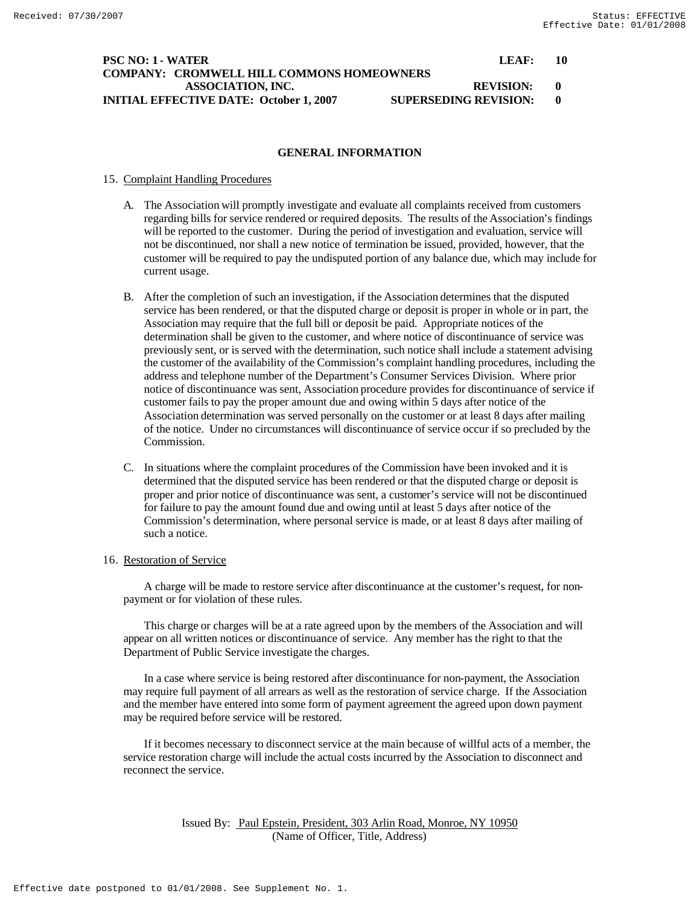## **PSC NO: 1 - WATER LEAF: 10 COMPANY: CROMWELL HILL COMMONS HOMEOWNERS ASSOCIATION, INC. REVISION: 0 INITIAL EFFECTIVE DATE: October 1, 2007 SUPERSEDING REVISION: 0**

## **GENERAL INFORMATION**

## 15. Complaint Handling Procedures

- A. The Association will promptly investigate and evaluate all complaints received from customers regarding bills for service rendered or required deposits. The results of the Association's findings will be reported to the customer. During the period of investigation and evaluation, service will not be discontinued, nor shall a new notice of termination be issued, provided, however, that the customer will be required to pay the undisputed portion of any balance due, which may include for current usage.
- B. After the completion of such an investigation, if the Association determines that the disputed service has been rendered, or that the disputed charge or deposit is proper in whole or in part, the Association may require that the full bill or deposit be paid. Appropriate notices of the determination shall be given to the customer, and where notice of discontinuance of service was previously sent, or is served with the determination, such notice shall include a statement advising the customer of the availability of the Commission's complaint handling procedures, including the address and telephone number of the Department's Consumer Services Division. Where prior notice of discontinuance was sent, Association procedure provides for discontinuance of service if customer fails to pay the proper amount due and owing within 5 days after notice of the Association determination was served personally on the customer or at least 8 days after mailing of the notice. Under no circumstances will discontinuance of service occur if so precluded by the Commission.
- C. In situations where the complaint procedures of the Commission have been invoked and it is determined that the disputed service has been rendered or that the disputed charge or deposit is proper and prior notice of discontinuance was sent, a customer's service will not be discontinued for failure to pay the amount found due and owing until at least 5 days after notice of the Commission's determination, where personal service is made, or at least 8 days after mailing of such a notice.

#### 16. Restoration of Service

A charge will be made to restore service after discontinuance at the customer's request, for nonpayment or for violation of these rules.

This charge or charges will be at a rate agreed upon by the members of the Association and will appear on all written notices or discontinuance of service. Any member has the right to that the Department of Public Service investigate the charges.

In a case where service is being restored after discontinuance for non-payment, the Association may require full payment of all arrears as well as the restoration of service charge. If the Association and the member have entered into some form of payment agreement the agreed upon down payment may be required before service will be restored.

If it becomes necessary to disconnect service at the main because of willful acts of a member, the service restoration charge will include the actual costs incurred by the Association to disconnect and reconnect the service.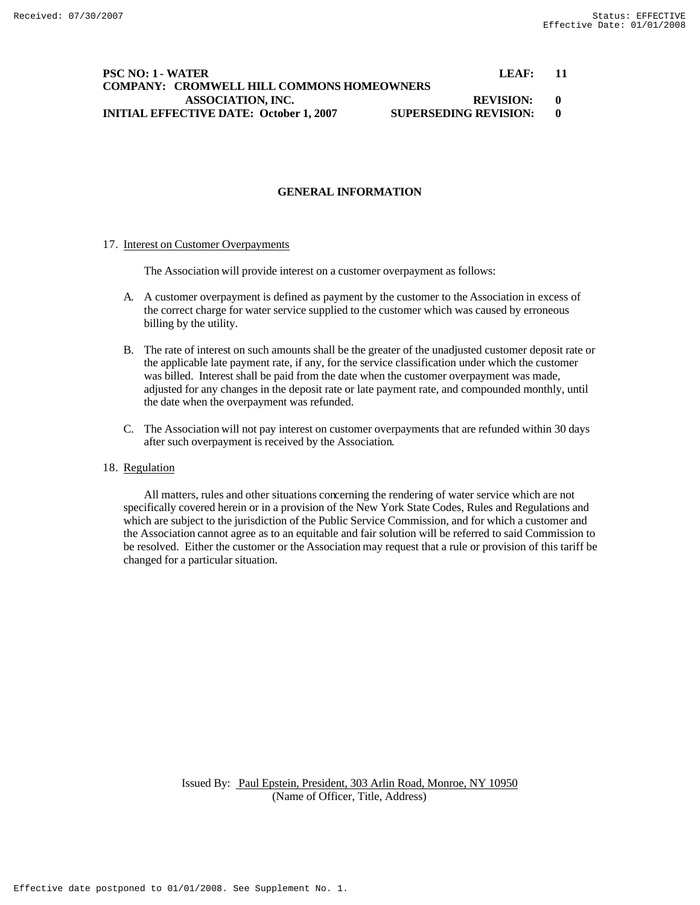## **PSC NO: 1 - WATER LEAF: 11 COMPANY: CROMWELL HILL COMMONS HOMEOWNERS ASSOCIATION, INC. REVISION: 0 INITIAL EFFECTIVE DATE: October 1, 2007 SUPERSEDING REVISION: 0**

## **GENERAL INFORMATION**

#### 17. Interest on Customer Overpayments

The Association will provide interest on a customer overpayment as follows:

- A. A customer overpayment is defined as payment by the customer to the Association in excess of the correct charge for water service supplied to the customer which was caused by erroneous billing by the utility.
- B. The rate of interest on such amounts shall be the greater of the unadjusted customer deposit rate or the applicable late payment rate, if any, for the service classification under which the customer was billed. Interest shall be paid from the date when the customer overpayment was made, adjusted for any changes in the deposit rate or late payment rate, and compounded monthly, until the date when the overpayment was refunded.
- C. The Association will not pay interest on customer overpayments that are refunded within 30 days after such overpayment is received by the Association.

## 18. Regulation

All matters, rules and other situations concerning the rendering of water service which are not specifically covered herein or in a provision of the New York State Codes, Rules and Regulations and which are subject to the jurisdiction of the Public Service Commission, and for which a customer and the Association cannot agree as to an equitable and fair solution will be referred to said Commission to be resolved. Either the customer or the Association may request that a rule or provision of this tariff be changed for a particular situation.